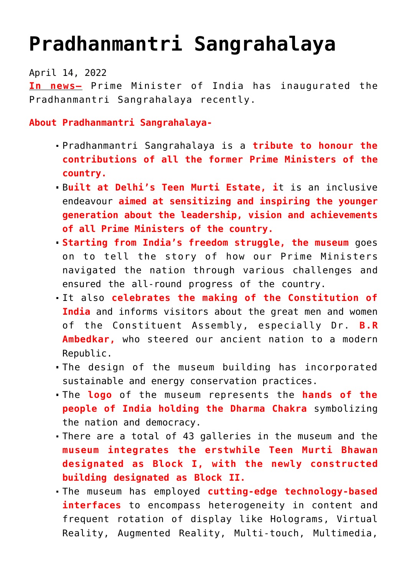## **[Pradhanmantri Sangrahalaya](https://journalsofindia.com/pradhanmantri-sangrahalaya/)**

April 14, 2022

**In news–** Prime Minister of India has inaugurated the Pradhanmantri Sangrahalaya recently.

**About Pradhanmantri Sangrahalaya-**

- Pradhanmantri Sangrahalaya is a **tribute to honour the contributions of all the former Prime Ministers of the country.**
- B**uilt at Delhi's Teen Murti Estate, i**t is an inclusive endeavour **aimed at sensitizing and inspiring the younger generation about the leadership, vision and achievements of all Prime Ministers of the country.**
- **Starting from India's freedom struggle, the museum** goes on to tell the story of how our Prime Ministers navigated the nation through various challenges and ensured the all-round progress of the country.
- It also **celebrates the making of the Constitution of India** and informs visitors about the great men and women of the Constituent Assembly, especially Dr. **B.R Ambedkar,** who steered our ancient nation to a modern Republic.
- The design of the museum building has incorporated sustainable and energy conservation practices.
- The **logo** of the museum represents the **hands of the people of India holding the Dharma Chakra** symbolizing the nation and democracy.
- There are a total of 43 galleries in the museum and the **museum integrates the erstwhile Teen Murti Bhawan designated as Block I, with the newly constructed building designated as Block II.**
- The museum has employed **cutting-edge technology-based interfaces** to encompass heterogeneity in content and frequent rotation of display like Holograms, Virtual Reality, Augmented Reality, Multi-touch, Multimedia,